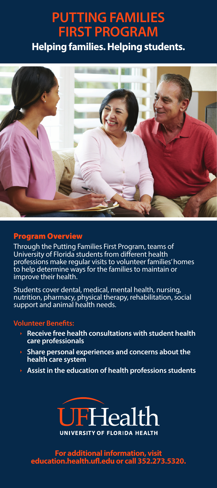# **PUTTING FAMILIES FIRST PROGRAM**

**Helping families. Helping students.**



### Program Overview

Through the Putting Families First Program, teams of University of Florida students from different health professions make regular visits to volunteer families' homes to help determine ways for the families to maintain or improve their health.

Students cover dental, medical, mental health, nursing, nutrition, pharmacy, physical therapy, rehabilitation, social support and animal health needs.

#### **Volunteer Benefits:**

- Receive free health consultations with student health care professionals
- ê **Share personal experiences and concerns about the health care system**
- ê **Assist in the education of health professions students**



**For additional information, visit education.health.ufl.edu or call 352.273.5320.**